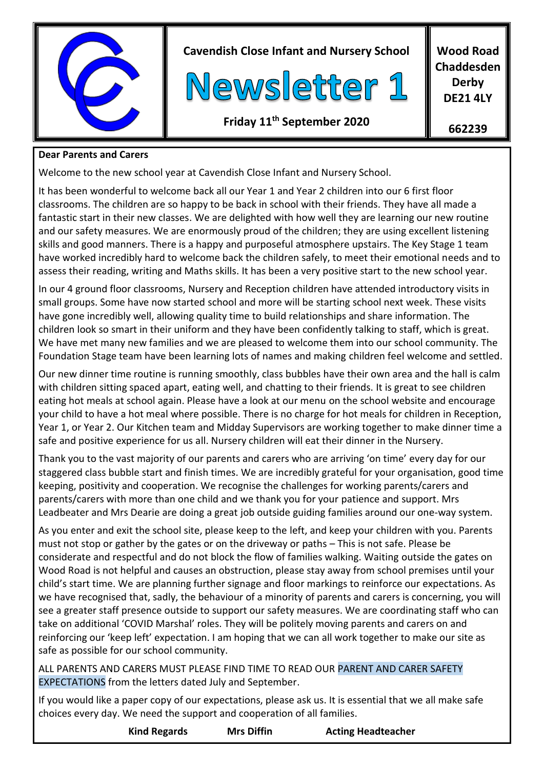

### **Dear Parents and Carers**

Welcome to the new school year at Cavendish Close Infant and Nursery School.

It has been wonderful to welcome back all our Year 1 and Year 2 children into our 6 first floor classrooms. The children are so happy to be back in school with their friends. They have all made a fantastic start in their new classes. We are delighted with how well they are learning our new routine and our safety measures. We are enormously proud of the children; they are using excellent listening skills and good manners. There is a happy and purposeful atmosphere upstairs. The Key Stage 1 team have worked incredibly hard to welcome back the children safely, to meet their emotional needs and to assess their reading, writing and Maths skills. It has been a very positive start to the new school year.

In our 4 ground floor classrooms, Nursery and Reception children have attended introductory visits in small groups. Some have now started school and more will be starting school next week. These visits have gone incredibly well, allowing quality time to build relationships and share information. The children look so smart in their uniform and they have been confidently talking to staff, which is great. We have met many new families and we are pleased to welcome them into our school community. The Foundation Stage team have been learning lots of names and making children feel welcome and settled.

Our new dinner time routine is running smoothly, class bubbles have their own area and the hall is calm with children sitting spaced apart, eating well, and chatting to their friends. It is great to see children eating hot meals at school again. Please have a look at our menu on the school website and encourage your child to have a hot meal where possible. There is no charge for hot meals for children in Reception, Year 1, or Year 2. Our Kitchen team and Midday Supervisors are working together to make dinner time a safe and positive experience for us all. Nursery children will eat their dinner in the Nursery.

Thank you to the vast majority of our parents and carers who are arriving 'on time' every day for our staggered class bubble start and finish times. We are incredibly grateful for your organisation, good time keeping, positivity and cooperation. We recognise the challenges for working parents/carers and parents/carers with more than one child and we thank you for your patience and support. Mrs Leadbeater and Mrs Dearie are doing a great job outside guiding families around our one-way system.

As you enter and exit the school site, please keep to the left, and keep your children with you. Parents must not stop or gather by the gates or on the driveway or paths – This is not safe. Please be considerate and respectful and do not block the flow of families walking. Waiting outside the gates on Wood Road is not helpful and causes an obstruction, please stay away from school premises until your child's start time. We are planning further signage and floor markings to reinforce our expectations. As we have recognised that, sadly, the behaviour of a minority of parents and carers is concerning, you will see a greater staff presence outside to support our safety measures. We are coordinating staff who can take on additional 'COVID Marshal' roles. They will be politely moving parents and carers on and reinforcing our 'keep left' expectation. I am hoping that we can all work together to make our site as safe as possible for our school community.

ALL PARENTS AND CARERS MUST PLEASE FIND TIME TO READ OUR PARENT AND CARER SAFETY EXPECTATIONS from the letters dated July and September.

If you would like a paper copy of our expectations, please ask us. It is essential that we all make safe choices every day. We need the support and cooperation of all families.

| <b>Kind Regards</b> | <b>Mrs Diffin</b> | <b>Acting Headteacher</b> |
|---------------------|-------------------|---------------------------|
|                     |                   |                           |